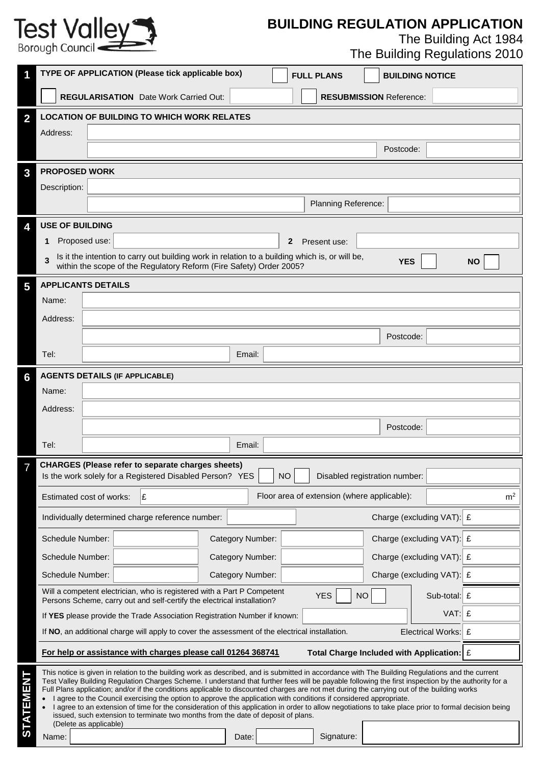## **BUILDING REGULATION APPLICATION**

The Building Act 1984

| The Building Regulations 2010 |  |  |
|-------------------------------|--|--|
|-------------------------------|--|--|

|                  |                                       | TYPE OF APPLICATION (Please tick applicable box)                                                                                                                                                                                                                                                                                                                                                                                                                                                                                                                                                                                                                                                                                                                                                                            |                  | <b>FULL PLANS</b>                           | <b>BUILDING NOTICE</b>                               |                |
|------------------|---------------------------------------|-----------------------------------------------------------------------------------------------------------------------------------------------------------------------------------------------------------------------------------------------------------------------------------------------------------------------------------------------------------------------------------------------------------------------------------------------------------------------------------------------------------------------------------------------------------------------------------------------------------------------------------------------------------------------------------------------------------------------------------------------------------------------------------------------------------------------------|------------------|---------------------------------------------|------------------------------------------------------|----------------|
|                  |                                       | <b>REGULARISATION</b> Date Work Carried Out:                                                                                                                                                                                                                                                                                                                                                                                                                                                                                                                                                                                                                                                                                                                                                                                |                  |                                             | <b>RESUBMISSION Reference:</b>                       |                |
| $\overline{2}$   |                                       | <b>LOCATION OF BUILDING TO WHICH WORK RELATES</b>                                                                                                                                                                                                                                                                                                                                                                                                                                                                                                                                                                                                                                                                                                                                                                           |                  |                                             |                                                      |                |
|                  | Address:                              |                                                                                                                                                                                                                                                                                                                                                                                                                                                                                                                                                                                                                                                                                                                                                                                                                             |                  |                                             |                                                      |                |
|                  |                                       |                                                                                                                                                                                                                                                                                                                                                                                                                                                                                                                                                                                                                                                                                                                                                                                                                             |                  |                                             | Postcode:                                            |                |
| 3                | <b>PROPOSED WORK</b>                  |                                                                                                                                                                                                                                                                                                                                                                                                                                                                                                                                                                                                                                                                                                                                                                                                                             |                  |                                             |                                                      |                |
|                  | Description:                          |                                                                                                                                                                                                                                                                                                                                                                                                                                                                                                                                                                                                                                                                                                                                                                                                                             |                  |                                             |                                                      |                |
|                  |                                       |                                                                                                                                                                                                                                                                                                                                                                                                                                                                                                                                                                                                                                                                                                                                                                                                                             |                  | Planning Reference:                         |                                                      |                |
| 4                | <b>USE OF BUILDING</b>                |                                                                                                                                                                                                                                                                                                                                                                                                                                                                                                                                                                                                                                                                                                                                                                                                                             |                  |                                             |                                                      |                |
|                  | Proposed use:<br>1                    |                                                                                                                                                                                                                                                                                                                                                                                                                                                                                                                                                                                                                                                                                                                                                                                                                             |                  | $\mathbf{2}$<br>Present use:                |                                                      |                |
|                  |                                       | Is it the intention to carry out building work in relation to a building which is, or will be,<br>within the scope of the Regulatory Reform (Fire Safety) Order 2005?                                                                                                                                                                                                                                                                                                                                                                                                                                                                                                                                                                                                                                                       |                  |                                             | <b>YES</b>                                           | <b>NO</b>      |
| 5                | <b>APPLICANTS DETAILS</b>             |                                                                                                                                                                                                                                                                                                                                                                                                                                                                                                                                                                                                                                                                                                                                                                                                                             |                  |                                             |                                                      |                |
|                  | Name:                                 |                                                                                                                                                                                                                                                                                                                                                                                                                                                                                                                                                                                                                                                                                                                                                                                                                             |                  |                                             |                                                      |                |
|                  | Address:                              |                                                                                                                                                                                                                                                                                                                                                                                                                                                                                                                                                                                                                                                                                                                                                                                                                             |                  |                                             |                                                      |                |
|                  |                                       |                                                                                                                                                                                                                                                                                                                                                                                                                                                                                                                                                                                                                                                                                                                                                                                                                             |                  |                                             | Postcode:                                            |                |
|                  | Tel:                                  |                                                                                                                                                                                                                                                                                                                                                                                                                                                                                                                                                                                                                                                                                                                                                                                                                             | Email:           |                                             |                                                      |                |
| 6                | <b>AGENTS DETAILS (IF APPLICABLE)</b> |                                                                                                                                                                                                                                                                                                                                                                                                                                                                                                                                                                                                                                                                                                                                                                                                                             |                  |                                             |                                                      |                |
|                  | Name:                                 |                                                                                                                                                                                                                                                                                                                                                                                                                                                                                                                                                                                                                                                                                                                                                                                                                             |                  |                                             |                                                      |                |
|                  | Address:                              |                                                                                                                                                                                                                                                                                                                                                                                                                                                                                                                                                                                                                                                                                                                                                                                                                             |                  |                                             |                                                      |                |
|                  |                                       |                                                                                                                                                                                                                                                                                                                                                                                                                                                                                                                                                                                                                                                                                                                                                                                                                             |                  |                                             | Postcode:                                            |                |
|                  | Tel:                                  |                                                                                                                                                                                                                                                                                                                                                                                                                                                                                                                                                                                                                                                                                                                                                                                                                             | Email:           |                                             |                                                      |                |
|                  |                                       | <b>CHARGES (Please refer to separate charges sheets)</b>                                                                                                                                                                                                                                                                                                                                                                                                                                                                                                                                                                                                                                                                                                                                                                    |                  |                                             |                                                      |                |
|                  |                                       | Is the work solely for a Registered Disabled Person? YES                                                                                                                                                                                                                                                                                                                                                                                                                                                                                                                                                                                                                                                                                                                                                                    |                  | <b>NO</b>                                   | Disabled registration number:                        |                |
|                  | Estimated cost of works:              | Ι£                                                                                                                                                                                                                                                                                                                                                                                                                                                                                                                                                                                                                                                                                                                                                                                                                          |                  | Floor area of extension (where applicable): |                                                      | m <sup>2</sup> |
|                  |                                       | Individually determined charge reference number:                                                                                                                                                                                                                                                                                                                                                                                                                                                                                                                                                                                                                                                                                                                                                                            |                  |                                             | Charge (excluding VAT): £                            |                |
|                  | Schedule Number:                      |                                                                                                                                                                                                                                                                                                                                                                                                                                                                                                                                                                                                                                                                                                                                                                                                                             | Category Number: |                                             | Charge (excluding VAT): £                            |                |
|                  | Schedule Number:                      |                                                                                                                                                                                                                                                                                                                                                                                                                                                                                                                                                                                                                                                                                                                                                                                                                             | Category Number: |                                             | Charge (excluding VAT): £                            |                |
|                  | Schedule Number:                      |                                                                                                                                                                                                                                                                                                                                                                                                                                                                                                                                                                                                                                                                                                                                                                                                                             | Category Number: |                                             | Charge (excluding VAT): £                            |                |
|                  |                                       | Will a competent electrician, who is registered with a Part P Competent<br>Persons Scheme, carry out and self-certify the electrical installation?                                                                                                                                                                                                                                                                                                                                                                                                                                                                                                                                                                                                                                                                          |                  | <b>YES</b>                                  | <b>NO</b>                                            | Sub-total: $E$ |
|                  |                                       | If YES please provide the Trade Association Registration Number if known:                                                                                                                                                                                                                                                                                                                                                                                                                                                                                                                                                                                                                                                                                                                                                   |                  |                                             |                                                      | $VAT:$ £       |
|                  |                                       | If NO, an additional charge will apply to cover the assessment of the electrical installation.                                                                                                                                                                                                                                                                                                                                                                                                                                                                                                                                                                                                                                                                                                                              |                  |                                             | Electrical Works: £                                  |                |
|                  |                                       | For help or assistance with charges please call 01264 368741                                                                                                                                                                                                                                                                                                                                                                                                                                                                                                                                                                                                                                                                                                                                                                |                  |                                             | Total Charge Included with Application: $\mathbf{E}$ |                |
| <b>STATEMENT</b> | (Delete as applicable)<br>Name:       | This notice is given in relation to the building work as described, and is submitted in accordance with The Building Regulations and the current<br>Test Valley Building Regulation Charges Scheme. I understand that further fees will be payable following the first inspection by the authority for a<br>Full Plans application; and/or if the conditions applicable to discounted charges are not met during the carrying out of the building works<br>I agree to the Council exercising the option to approve the application with conditions if considered appropriate.<br>I agree to an extension of time for the consideration of this application in order to allow negotiations to take place prior to formal decision being<br>issued, such extension to terminate two months from the date of deposit of plans. | Date:            | Signature:                                  |                                                      |                |
|                  |                                       |                                                                                                                                                                                                                                                                                                                                                                                                                                                                                                                                                                                                                                                                                                                                                                                                                             |                  |                                             |                                                      |                |

Test Valley